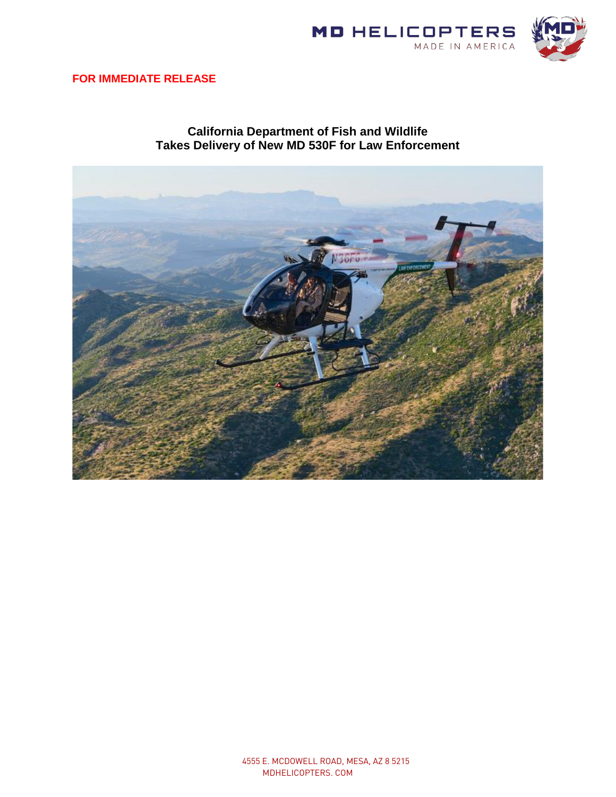

## **FOR IMMEDIATE RELEASE**

## **California Department of Fish and Wildlife Takes Delivery of New MD 530F for Law Enforcement**

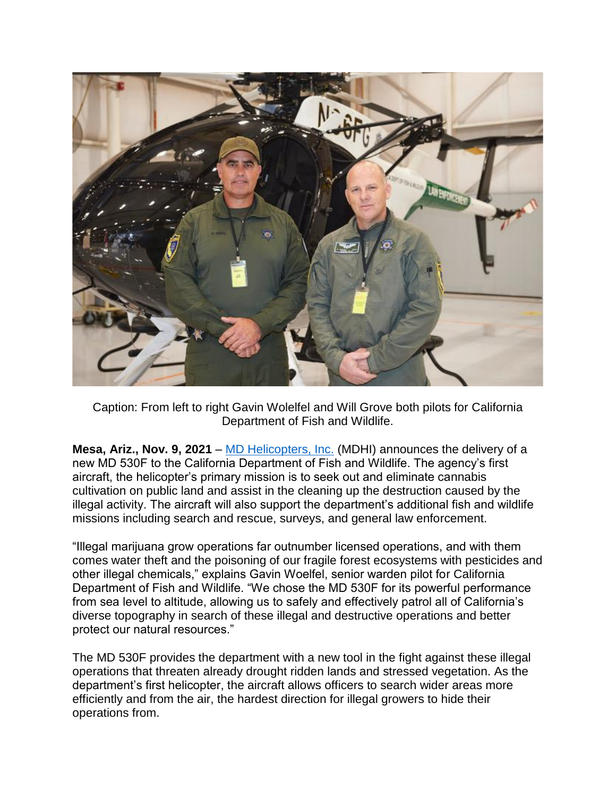

Caption: From left to right Gavin Wolelfel and Will Grove both pilots for California Department of Fish and Wildlife.

**Mesa, Ariz., Nov. 9, 2021** – [MD Helicopters, Inc.](http://www.mdhelicopters.com/) (MDHI) announces the delivery of a new MD 530F to the California Department of Fish and Wildlife. The agency's first aircraft, the helicopter's primary mission is to seek out and eliminate cannabis cultivation on public land and assist in the cleaning up the destruction caused by the illegal activity. The aircraft will also support the department's additional fish and wildlife missions including search and rescue, surveys, and general law enforcement.

"Illegal marijuana grow operations far outnumber licensed operations, and with them comes water theft and the poisoning of our fragile forest ecosystems with pesticides and other illegal chemicals," explains Gavin Woelfel, senior warden pilot for California Department of Fish and Wildlife. "We chose the MD 530F for its powerful performance from sea level to altitude, allowing us to safely and effectively patrol all of California's diverse topography in search of these illegal and destructive operations and better protect our natural resources."

The MD 530F provides the department with a new tool in the fight against these illegal operations that threaten already drought ridden lands and stressed vegetation. As the department's first helicopter, the aircraft allows officers to search wider areas more efficiently and from the air, the hardest direction for illegal growers to hide their operations from.